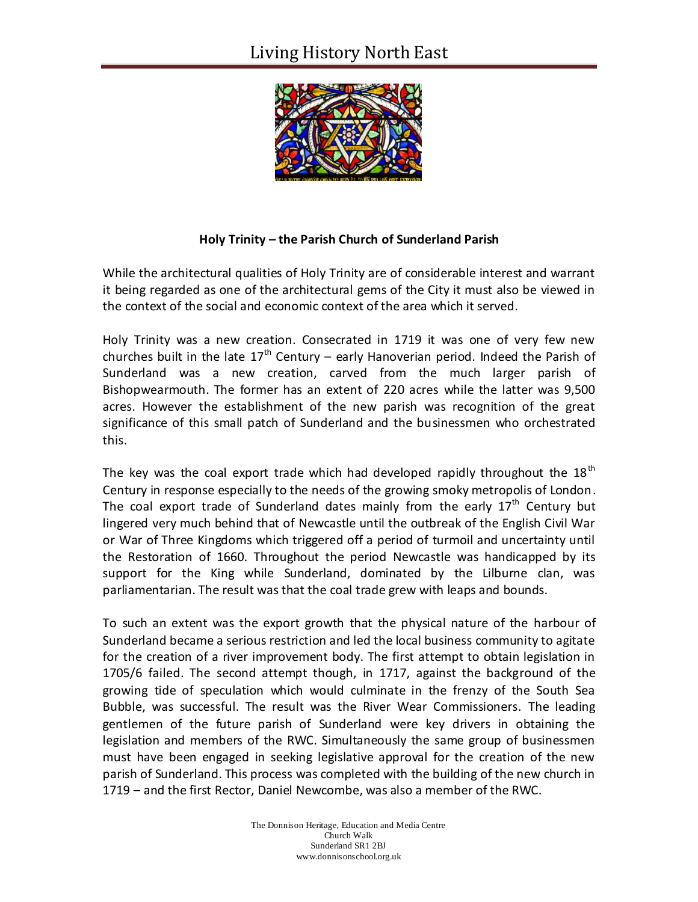

## **Holy Trinity – the Parish Church of Sunderland Parish**

While the architectural qualities of Holy Trinity are of considerable interest and warrant it being regarded as one of the architectural gems of the City it must also be viewed in the context of the social and economic context of the area which it served.

Holy Trinity was a new creation. Consecrated in 1719 it was one of very few new churches built in the late  $17<sup>th</sup>$  Century – early Hanoverian period. Indeed the Parish of Sunderland was a new creation, carved from the much larger parish of Bishopwearmouth. The former has an extent of 220 acres while the latter was 9,500 acres. However the establishment of the new parish was recognition of the great significance of this small patch of Sunderland and the businessmen who orchestrated this.

The key was the coal export trade which had developed rapidly throughout the 18<sup>th</sup> Century in response especially to the needs of the growing smoky metropolis of London. The coal export trade of Sunderland dates mainly from the early  $17<sup>th</sup>$  Century but lingered very much behind that of Newcastle until the outbreak of the English Civil War or War of Three Kingdoms which triggered off a period of turmoil and uncertainty until the Restoration of 1660. Throughout the period Newcastle was handicapped by its support for the King while Sunderland, dominated by the Lilburne clan, was parliamentarian. The result was that the coal trade grew with leaps and bounds.

To such an extent was the export growth that the physical nature of the harbour of Sunderland became a serious restriction and led the local business community to agitate for the creation of a river improvement body. The first attempt to obtain legislation in 1705/6 failed. The second attempt though, in 1717, against the background of the growing tide of speculation which would culminate in the frenzy of the South Sea Bubble, was successful. The result was the River Wear Commissioners. The leading gentlemen of the future parish of Sunderland were key drivers in obtaining the legislation and members of the RWC. Simultaneously the same group of businessmen must have been engaged in seeking legislative approval for the creation of the new parish of Sunderland. This process was completed with the building of the new church in 1719 – and the first Rector, Daniel Newcombe, was also a member of the RWC.